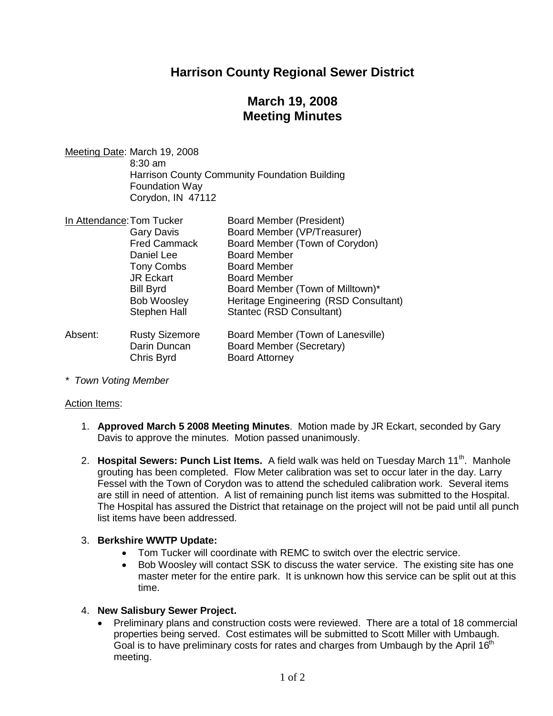## **Harrison County Regional Sewer District**

# **March 19, 2008 Meeting Minutes**

Meeting Date: March 19, 2008 8:30 am Harrison County Community Foundation Building Foundation Way Corydon, IN 47112

| In Attendance: Tom Tucker |                       | <b>Board Member (President)</b>       |
|---------------------------|-----------------------|---------------------------------------|
|                           | <b>Gary Davis</b>     | Board Member (VP/Treasurer)           |
|                           | <b>Fred Cammack</b>   | Board Member (Town of Corydon)        |
|                           | Daniel Lee            | <b>Board Member</b>                   |
|                           | <b>Tony Combs</b>     | <b>Board Member</b>                   |
|                           | <b>JR Eckart</b>      | <b>Board Member</b>                   |
|                           | <b>Bill Byrd</b>      | Board Member (Town of Milltown)*      |
|                           | <b>Bob Woosley</b>    | Heritage Engineering (RSD Consultant) |
|                           | Stephen Hall          | Stantec (RSD Consultant)              |
| Absent:                   | <b>Rusty Sizemore</b> | Board Member (Town of Lanesville)     |
|                           | Darin Duncan          | Board Member (Secretary)              |
|                           | Chris Byrd            | <b>Board Attorney</b>                 |

*\* Town Voting Member*

#### Action Items:

- 1. **Approved March 5 2008 Meeting Minutes**. Motion made by JR Eckart, seconded by Gary Davis to approve the minutes. Motion passed unanimously.
- 2. **Hospital Sewers: Punch List Items.** A field walk was held on Tuesday March 11<sup>th</sup>. Manhole grouting has been completed. Flow Meter calibration was set to occur later in the day. Larry Fessel with the Town of Corydon was to attend the scheduled calibration work. Several items are still in need of attention. A list of remaining punch list items was submitted to the Hospital. The Hospital has assured the District that retainage on the project will not be paid until all punch list items have been addressed.

### 3. **Berkshire WWTP Update:**

- Tom Tucker will coordinate with REMC to switch over the electric service.
- Bob Woosley will contact SSK to discuss the water service. The existing site has one master meter for the entire park. It is unknown how this service can be split out at this time.

### 4. **New Salisbury Sewer Project.**

 Preliminary plans and construction costs were reviewed. There are a total of 18 commercial properties being served. Cost estimates will be submitted to Scott Miller with Umbaugh. Goal is to have preliminary costs for rates and charges from Umbaugh by the April  $16<sup>th</sup>$ meeting.